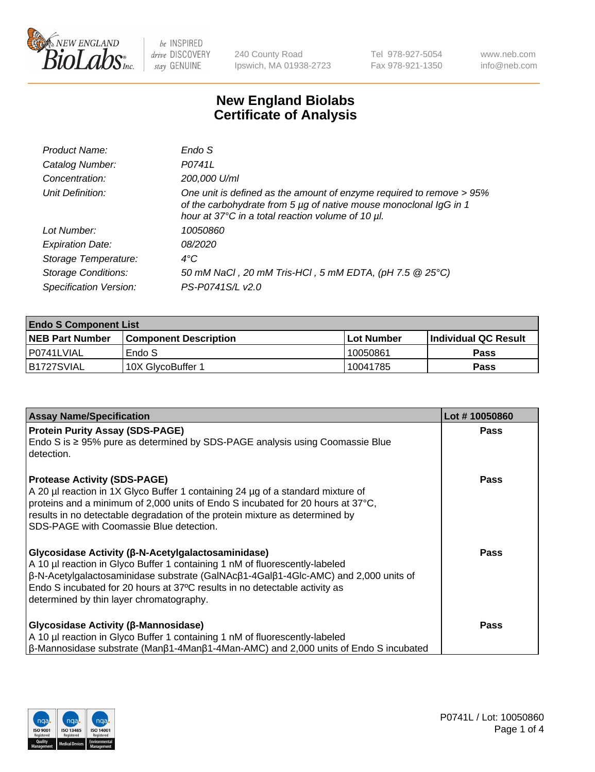

240 County Road Ipswich, MA 01938-2723 Tel 978-927-5054 Fax 978-921-1350 www.neb.com info@neb.com

## **New England Biolabs Certificate of Analysis**

| Endo S                                                                                                                                                                                         |
|------------------------------------------------------------------------------------------------------------------------------------------------------------------------------------------------|
| P0741L                                                                                                                                                                                         |
| 200,000 U/ml                                                                                                                                                                                   |
| One unit is defined as the amount of enzyme required to remove > 95%<br>of the carbohydrate from 5 µg of native mouse monoclonal IgG in 1<br>hour at 37°C in a total reaction volume of 10 µl. |
| 10050860                                                                                                                                                                                       |
| 08/2020                                                                                                                                                                                        |
| $4^{\circ}$ C                                                                                                                                                                                  |
| 50 mM NaCl, 20 mM Tris-HCl, 5 mM EDTA, (pH 7.5 @ 25°C)                                                                                                                                         |
| PS-P0741S/L v2.0                                                                                                                                                                               |
|                                                                                                                                                                                                |

| <b>Endo S Component List</b> |                         |            |                             |  |  |
|------------------------------|-------------------------|------------|-----------------------------|--|--|
| <b>NEB Part Number</b>       | l Component Description | Lot Number | <b>Individual QC Result</b> |  |  |
| l P0741LVIAL                 | Endo S                  | 10050861   | Pass                        |  |  |
| B1727SVIAL                   | 10X GlycoBuffer 1       | 10041785   | Pass                        |  |  |

| <b>Assay Name/Specification</b>                                                                                                                                                                                                                                                                                                                                           | Lot #10050860 |
|---------------------------------------------------------------------------------------------------------------------------------------------------------------------------------------------------------------------------------------------------------------------------------------------------------------------------------------------------------------------------|---------------|
| <b>Protein Purity Assay (SDS-PAGE)</b><br>Endo S is $\geq$ 95% pure as determined by SDS-PAGE analysis using Coomassie Blue<br>detection.                                                                                                                                                                                                                                 | <b>Pass</b>   |
| <b>Protease Activity (SDS-PAGE)</b><br>A 20 µl reaction in 1X Glyco Buffer 1 containing 24 µg of a standard mixture of<br>proteins and a minimum of 2,000 units of Endo S incubated for 20 hours at 37°C,<br>results in no detectable degradation of the protein mixture as determined by<br>SDS-PAGE with Coomassie Blue detection.                                      | <b>Pass</b>   |
| Glycosidase Activity (β-N-Acetylgalactosaminidase)<br>A 10 µl reaction in Glyco Buffer 1 containing 1 nM of fluorescently-labeled<br>$\beta$ -N-Acetylgalactosaminidase substrate (GalNAc $\beta$ 1-4Gal $\beta$ 1-4Glc-AMC) and 2,000 units of<br>Endo S incubated for 20 hours at 37°C results in no detectable activity as<br>determined by thin layer chromatography. | Pass          |
| Glycosidase Activity (β-Mannosidase)<br>A 10 µl reaction in Glyco Buffer 1 containing 1 nM of fluorescently-labeled<br>$\beta$ -Mannosidase substrate (Man $\beta$ 1-4Man $\beta$ 1-4Man-AMC) and 2,000 units of Endo S incubated                                                                                                                                         | Pass          |

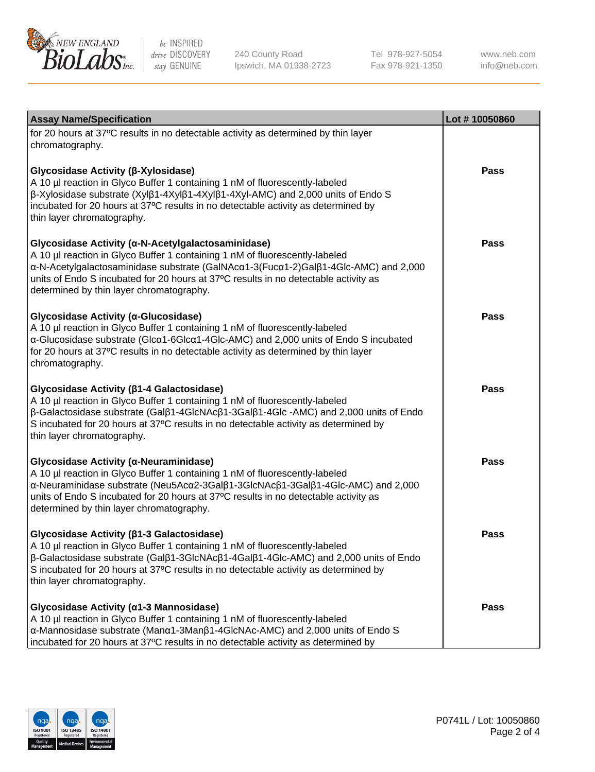

240 County Road Ipswich, MA 01938-2723 Tel 978-927-5054 Fax 978-921-1350

www.neb.com info@neb.com

| <b>Assay Name/Specification</b>                                                                                                                                                                                                                                                                                                                                      | Lot #10050860 |
|----------------------------------------------------------------------------------------------------------------------------------------------------------------------------------------------------------------------------------------------------------------------------------------------------------------------------------------------------------------------|---------------|
| for 20 hours at 37°C results in no detectable activity as determined by thin layer<br>chromatography.                                                                                                                                                                                                                                                                |               |
| Glycosidase Activity (β-Xylosidase)<br>A 10 µl reaction in Glyco Buffer 1 containing 1 nM of fluorescently-labeled<br>$\beta$ -Xylosidase substrate (Xyl $\beta$ 1-4Xyl $\beta$ 1-4Xyl $\beta$ 1-4Xyl-AMC) and 2,000 units of Endo S<br>incubated for 20 hours at 37°C results in no detectable activity as determined by<br>thin layer chromatography.              | <b>Pass</b>   |
| Glycosidase Activity (α-N-Acetylgalactosaminidase)<br>A 10 µl reaction in Glyco Buffer 1 containing 1 nM of fluorescently-labeled<br>α-N-Acetylgalactosaminidase substrate (GalNAcα1-3(Fucα1-2)Galβ1-4Glc-AMC) and 2,000<br>units of Endo S incubated for 20 hours at 37°C results in no detectable activity as<br>determined by thin layer chromatography.          | <b>Pass</b>   |
| Glycosidase Activity (a-Glucosidase)<br>A 10 µl reaction in Glyco Buffer 1 containing 1 nM of fluorescently-labeled<br>α-Glucosidase substrate (Glcα1-6Glcα1-4Glc-AMC) and 2,000 units of Endo S incubated<br>for 20 hours at 37°C results in no detectable activity as determined by thin layer<br>chromatography.                                                  | Pass          |
| Glycosidase Activity (ß1-4 Galactosidase)<br>A 10 µl reaction in Glyco Buffer 1 containing 1 nM of fluorescently-labeled<br>$\beta$ -Galactosidase substrate (Gal $\beta$ 1-4GlcNAc $\beta$ 1-3Gal $\beta$ 1-4Glc -AMC) and 2,000 units of Endo<br>S incubated for 20 hours at 37°C results in no detectable activity as determined by<br>thin layer chromatography. | <b>Pass</b>   |
| Glycosidase Activity (α-Neuraminidase)<br>A 10 µl reaction in Glyco Buffer 1 containing 1 nM of fluorescently-labeled<br>α-Neuraminidase substrate (Neu5Acα2-3Galβ1-3GlcNAcβ1-3Galβ1-4Glc-AMC) and 2,000<br>units of Endo S incubated for 20 hours at 37°C results in no detectable activity as<br>determined by thin layer chromatography.                          | <b>Pass</b>   |
| Glycosidase Activity (β1-3 Galactosidase)<br>A 10 µl reaction in Glyco Buffer 1 containing 1 nM of fluorescently-labeled<br>$\beta$ -Galactosidase substrate (Gal $\beta$ 1-3GlcNAc $\beta$ 1-4Gal $\beta$ 1-4Glc-AMC) and 2,000 units of Endo<br>S incubated for 20 hours at 37°C results in no detectable activity as determined by<br>thin layer chromatography.  | Pass          |
| Glycosidase Activity (α1-3 Mannosidase)<br>A 10 µl reaction in Glyco Buffer 1 containing 1 nM of fluorescently-labeled<br>α-Mannosidase substrate (Μanα1-3Μanβ1-4GlcNAc-AMC) and 2,000 units of Endo S<br>incubated for 20 hours at 37°C results in no detectable activity as determined by                                                                          | Pass          |

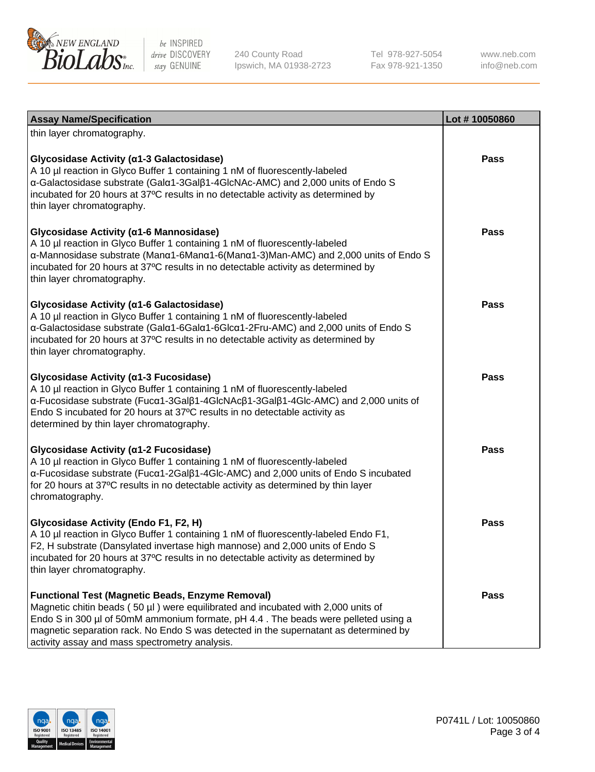

240 County Road Ipswich, MA 01938-2723 Tel 978-927-5054 Fax 978-921-1350 www.neb.com info@neb.com

| <b>Assay Name/Specification</b>                                                                                                                                                                                                                                                                                                                                              | Lot #10050860 |
|------------------------------------------------------------------------------------------------------------------------------------------------------------------------------------------------------------------------------------------------------------------------------------------------------------------------------------------------------------------------------|---------------|
| thin layer chromatography.                                                                                                                                                                                                                                                                                                                                                   |               |
| Glycosidase Activity (α1-3 Galactosidase)<br>A 10 µl reaction in Glyco Buffer 1 containing 1 nM of fluorescently-labeled<br>α-Galactosidase substrate (Galα1-3Galβ1-4GlcNAc-AMC) and 2,000 units of Endo S<br>incubated for 20 hours at 37°C results in no detectable activity as determined by<br>thin layer chromatography.                                                | Pass          |
| Glycosidase Activity (α1-6 Mannosidase)<br>A 10 µl reaction in Glyco Buffer 1 containing 1 nM of fluorescently-labeled<br>α-Mannosidase substrate (Manα1-6Manα1-6(Manα1-3)Man-AMC) and 2,000 units of Endo S<br>incubated for 20 hours at 37°C results in no detectable activity as determined by<br>thin layer chromatography.                                              | <b>Pass</b>   |
| Glycosidase Activity (a1-6 Galactosidase)<br>A 10 µl reaction in Glyco Buffer 1 containing 1 nM of fluorescently-labeled<br>α-Galactosidase substrate (Galα1-6Galα1-6Glcα1-2Fru-AMC) and 2,000 units of Endo S<br>incubated for 20 hours at 37°C results in no detectable activity as determined by<br>thin layer chromatography.                                            | Pass          |
| Glycosidase Activity (α1-3 Fucosidase)<br>A 10 µl reaction in Glyco Buffer 1 containing 1 nM of fluorescently-labeled<br>α-Fucosidase substrate (Fucα1-3Galβ1-4GlcNAcβ1-3Galβ1-4Glc-AMC) and 2,000 units of<br>Endo S incubated for 20 hours at 37°C results in no detectable activity as<br>determined by thin layer chromatography.                                        | <b>Pass</b>   |
| Glycosidase Activity (α1-2 Fucosidase)<br>A 10 µl reaction in Glyco Buffer 1 containing 1 nM of fluorescently-labeled<br>α-Fucosidase substrate (Fucα1-2Galβ1-4Glc-AMC) and 2,000 units of Endo S incubated<br>for 20 hours at 37°C results in no detectable activity as determined by thin layer<br>chromatography.                                                         | <b>Pass</b>   |
| Glycosidase Activity (Endo F1, F2, H)<br>A 10 µl reaction in Glyco Buffer 1 containing 1 nM of fluorescently-labeled Endo F1,<br>F2, H substrate (Dansylated invertase high mannose) and 2,000 units of Endo S<br>incubated for 20 hours at 37°C results in no detectable activity as determined by<br>thin layer chromatography.                                            | Pass          |
| <b>Functional Test (Magnetic Beads, Enzyme Removal)</b><br>Magnetic chitin beads (50 µl) were equilibrated and incubated with 2,000 units of<br>Endo S in 300 µl of 50mM ammonium formate, pH 4.4. The beads were pelleted using a<br>magnetic separation rack. No Endo S was detected in the supernatant as determined by<br>activity assay and mass spectrometry analysis. | Pass          |